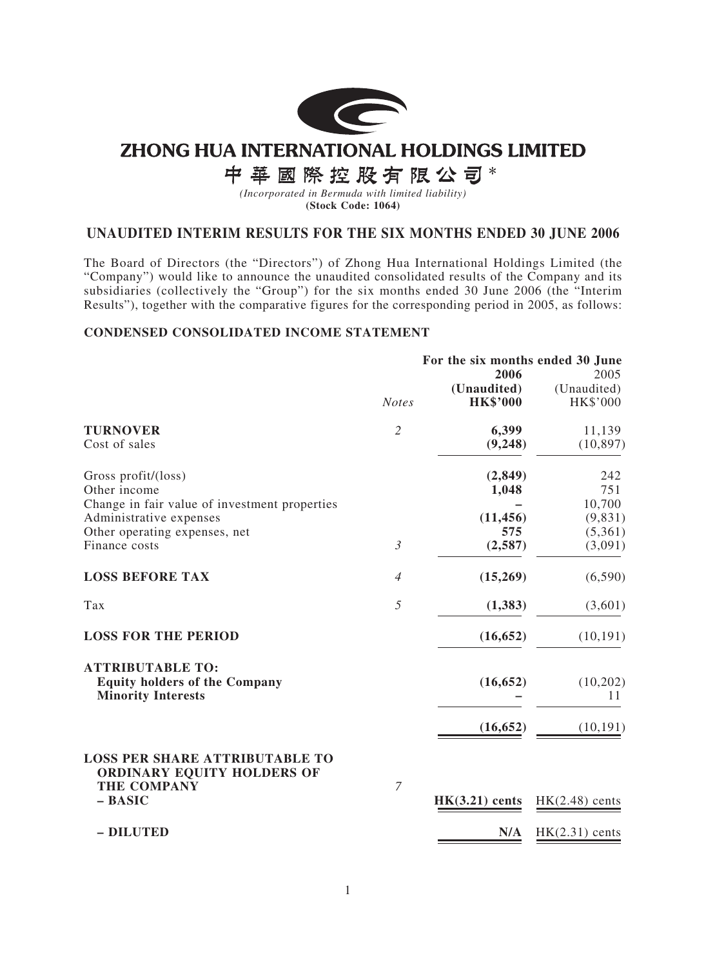

# **ZHONG HUA INTERNATIONAL HOLDINGS LIMITED**

中華國際控股有限公司\*

*(Incorporated in Bermuda with limited liability)* **(Stock Code: 1064)**

## **UNAUDITED INTERIM RESULTS FOR THE SIX MONTHS ENDED 30 JUNE 2006**

The Board of Directors (the "Directors") of Zhong Hua International Holdings Limited (the "Company") would like to announce the unaudited consolidated results of the Company and its subsidiaries (collectively the "Group") for the six months ended 30 June 2006 (the "Interim Results"), together with the comparative figures for the corresponding period in 2005, as follows:

#### **CONDENSED CONSOLIDATED INCOME STATEMENT**

|                                                                                              | For the six months ended 30 June<br>2006 |                                |                                 |  |  |
|----------------------------------------------------------------------------------------------|------------------------------------------|--------------------------------|---------------------------------|--|--|
|                                                                                              | <b>Notes</b>                             | (Unaudited)<br><b>HK\$'000</b> | 2005<br>(Unaudited)<br>HK\$'000 |  |  |
| <b>TURNOVER</b>                                                                              | $\overline{2}$                           | 6,399                          | 11,139                          |  |  |
| Cost of sales                                                                                |                                          | (9,248)                        | (10, 897)                       |  |  |
| Gross profit/(loss)                                                                          |                                          | (2, 849)                       | 242                             |  |  |
| Other income                                                                                 |                                          | 1,048                          | 751                             |  |  |
| Change in fair value of investment properties                                                |                                          |                                | 10,700                          |  |  |
| Administrative expenses                                                                      |                                          | (11, 456)                      | (9,831)                         |  |  |
| Other operating expenses, net                                                                |                                          | 575                            | (5,361)                         |  |  |
| Finance costs                                                                                | $\mathfrak{Z}$                           | (2,587)                        | (3,091)                         |  |  |
| <b>LOSS BEFORE TAX</b>                                                                       | $\overline{4}$                           | (15,269)                       | (6,590)                         |  |  |
| Tax                                                                                          | 5                                        | (1,383)                        | (3,601)                         |  |  |
| <b>LOSS FOR THE PERIOD</b>                                                                   |                                          | (16, 652)                      | (10, 191)                       |  |  |
| <b>ATTRIBUTABLE TO:</b><br><b>Equity holders of the Company</b><br><b>Minority Interests</b> |                                          | (16, 652)                      | (10,202)<br>11                  |  |  |
|                                                                                              |                                          | (16, 652)                      | (10, 191)                       |  |  |
| <b>LOSS PER SHARE ATTRIBUTABLE TO</b><br>ORDINARY EQUITY HOLDERS OF<br><b>THE COMPANY</b>    | $\overline{7}$                           |                                |                                 |  |  |
| - BASIC                                                                                      |                                          | $HK(3.21)$ cents               | $HK(2.48)$ cents                |  |  |
| - DILUTED                                                                                    |                                          | N/A                            | $HK(2.31)$ cents                |  |  |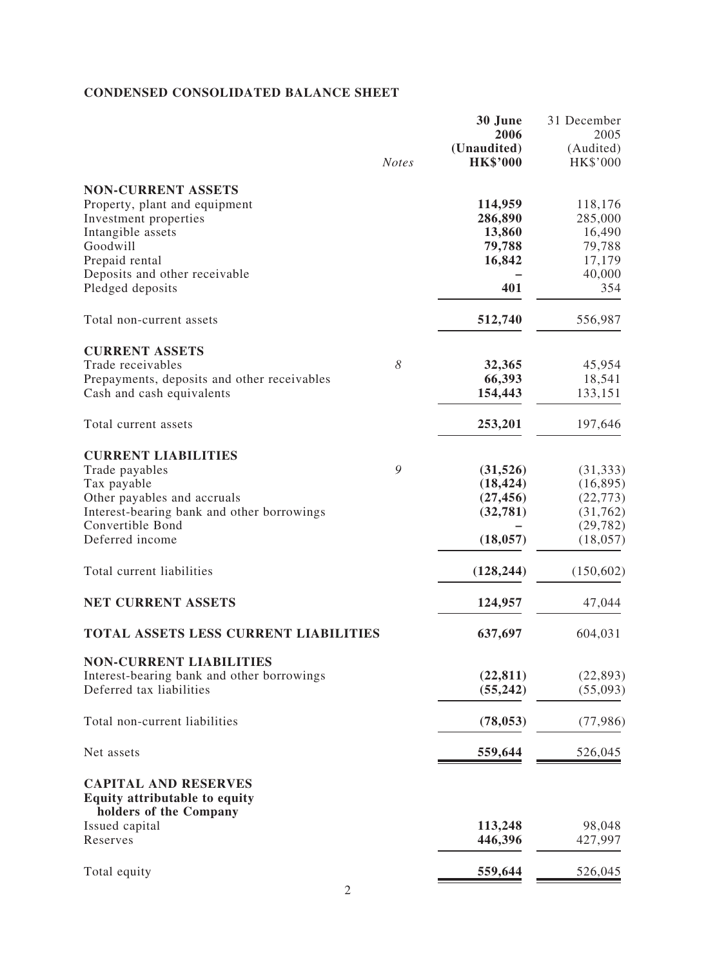## **CONDENSED CONSOLIDATED BALANCE SHEET**

|                                                              | <b>Notes</b> | 30 June<br>2006<br>(Unaudited)<br><b>HK\$'000</b> | 31 December<br>2005<br>(Audited)<br>HK\$'000 |
|--------------------------------------------------------------|--------------|---------------------------------------------------|----------------------------------------------|
| <b>NON-CURRENT ASSETS</b>                                    |              |                                                   |                                              |
| Property, plant and equipment                                |              | 114,959                                           | 118,176                                      |
| Investment properties                                        |              | 286,890                                           | 285,000                                      |
| Intangible assets                                            |              | 13,860                                            | 16,490                                       |
| Goodwill                                                     |              | 79,788                                            | 79,788                                       |
| Prepaid rental                                               |              | 16,842                                            | 17,179                                       |
| Deposits and other receivable                                |              |                                                   | 40,000                                       |
| Pledged deposits                                             |              | 401                                               | 354                                          |
| Total non-current assets                                     |              | 512,740                                           | 556,987                                      |
| <b>CURRENT ASSETS</b>                                        |              |                                                   |                                              |
| Trade receivables                                            | 8            | 32,365                                            | 45,954                                       |
| Prepayments, deposits and other receivables                  |              | 66,393                                            | 18,541                                       |
| Cash and cash equivalents                                    |              | 154,443                                           | 133,151                                      |
| Total current assets                                         |              | 253,201                                           | 197,646                                      |
| <b>CURRENT LIABILITIES</b>                                   |              |                                                   |                                              |
| Trade payables                                               | 9            | (31,526)                                          | (31, 333)                                    |
| Tax payable                                                  |              | (18, 424)                                         | (16, 895)                                    |
| Other payables and accruals                                  |              | (27, 456)                                         | (22, 773)                                    |
| Interest-bearing bank and other borrowings                   |              | (32, 781)                                         | (31, 762)                                    |
| Convertible Bond                                             |              |                                                   | (29, 782)                                    |
| Deferred income                                              |              | (18, 057)                                         | (18, 057)                                    |
| Total current liabilities                                    |              | (128, 244)                                        | (150, 602)                                   |
| <b>NET CURRENT ASSETS</b>                                    |              |                                                   | 47,044                                       |
|                                                              |              | 124,957                                           |                                              |
| <b>TOTAL ASSETS LESS CURRENT LIABILITIES</b>                 |              | 637,697                                           | 604,031                                      |
| <b>NON-CURRENT LIABILITIES</b>                               |              |                                                   |                                              |
| Interest-bearing bank and other borrowings                   |              | (22, 811)                                         | (22, 893)                                    |
| Deferred tax liabilities                                     |              | (55, 242)                                         | (55,093)                                     |
| Total non-current liabilities                                |              | (78, 053)                                         | (77, 986)                                    |
| Net assets                                                   |              | 559,644                                           | 526,045                                      |
| <b>CAPITAL AND RESERVES</b><br>Equity attributable to equity |              |                                                   |                                              |
| holders of the Company                                       |              | 113,248                                           | 98,048                                       |
| Issued capital<br>Reserves                                   |              | 446,396                                           | 427,997                                      |
|                                                              |              |                                                   |                                              |
| Total equity                                                 |              | 559,644                                           | 526,045                                      |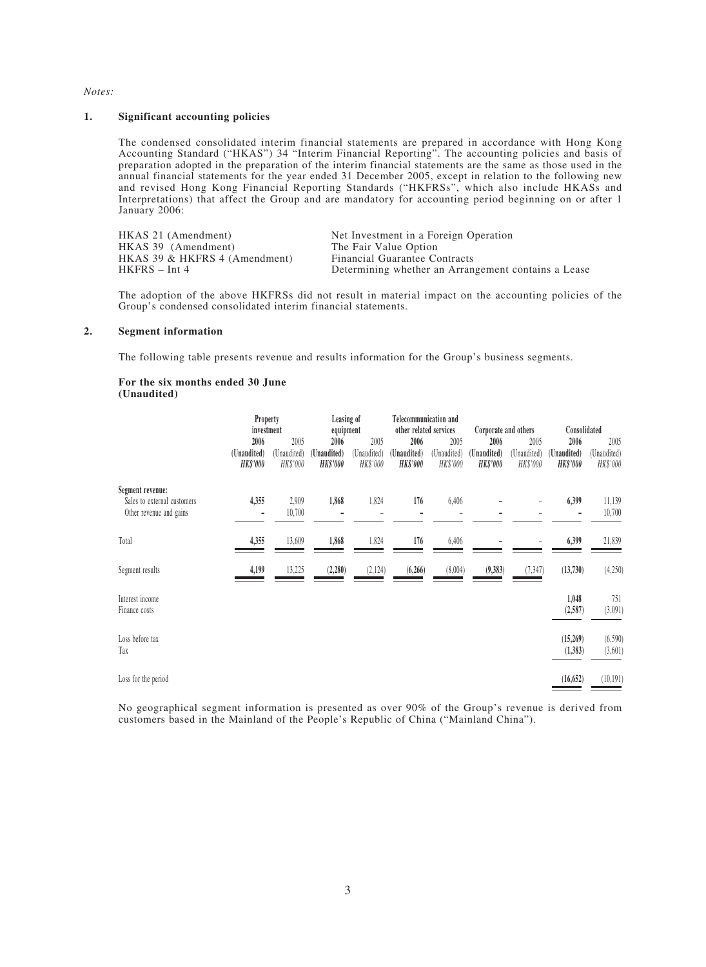#### *Notes:*

#### **1. Significant accounting policies**

The condensed consolidated interim financial statements are prepared in accordance with Hong Kong Accounting Standard ("HKAS") 34 "Interim Financial Reporting". The accounting policies and basis of preparation adopted in the preparation of the interim financial statements are the same as those used in the annual financial statements for the year ended 31 December 2005, except in relation to the following new and revised Hong Kong Financial Reporting Standards ("HKFRSs", which also include HKASs and Interpretations) that affect the Group and are mandatory for accounting period beginning on or after 1 January 2006:

| HKAS 21 (Amendment)           | Net Investment in a Foreign Operation               |
|-------------------------------|-----------------------------------------------------|
| HKAS 39 (Amendment)           | The Fair Value Option                               |
| HKAS 39 & HKFRS 4 (Amendment) | <b>Financial Guarantee Contracts</b>                |
| $HKFRS - Int 4$               | Determining whether an Arrangement contains a Lease |

The adoption of the above HKFRSs did not result in material impact on the accounting policies of the Group's condensed consolidated interim financial statements.

#### **2. Segment information**

The following table presents revenue and results information for the Group's business segments.

#### **For the six months ended 30 June (Unaudited)**

|                                                                            | Property<br>investment         |                         | Leasing of<br>equipment        |                         | Telecommunication and<br>other related services |                         | Corporate and others           |                         | Consolidated                   |                         |
|----------------------------------------------------------------------------|--------------------------------|-------------------------|--------------------------------|-------------------------|-------------------------------------------------|-------------------------|--------------------------------|-------------------------|--------------------------------|-------------------------|
|                                                                            | 2006                           | 2005                    | 2006                           | 2005                    | 2006                                            | 2005                    | 2006                           | 2005                    | 2006                           | 2005                    |
|                                                                            | (Unaudited)<br><b>HK\$'000</b> | (Unaudited)<br>HK\$'000 | (Unaudited)<br><b>HK\$'000</b> | (Unaudited)<br>HK\$'000 | (Unaudited)<br><b>HK\$'000</b>                  | (Unaudited)<br>HK\$'000 | (Unaudited)<br><b>HK\$'000</b> | (Unaudited)<br>HK\$'000 | (Unaudited)<br><b>HK\$'000</b> | (Unaudited)<br>HK\$'000 |
| Segment revenue:<br>Sales to external customers<br>Other revenue and gains | 4,355<br>۰                     | 2,909<br>10,700         | 1,868                          | 1,824                   | 176                                             | 6,406                   |                                |                         | 6,399                          | 11,139<br>10,700        |
| Total                                                                      | 4,355                          | 13,609                  | 1,868                          | 1,824                   | 176                                             | 6,406                   |                                |                         | 6,399                          | 21,839                  |
| Segment results                                                            | 4,199                          | 13,225                  | (2, 280)                       | (2, 124)                | (6, 266)                                        | (8,004)                 | (9, 383)                       | (7, 347)                | (13,730)                       | (4,250)                 |
| Interest income<br>Finance costs                                           |                                |                         |                                |                         |                                                 |                         |                                |                         | 1,048<br>(2, 587)              | 751<br>(3,091)          |
| Loss before tax<br>Tax                                                     |                                |                         |                                |                         |                                                 |                         |                                |                         | (15,269)<br>(1,383)            | (6,590)<br>(3,601)      |
| Loss for the period                                                        |                                |                         |                                |                         |                                                 |                         |                                |                         | (16, 652)                      | (10, 191)               |

No geographical segment information is presented as over 90% of the Group's revenue is derived from customers based in the Mainland of the People's Republic of China ("Mainland China").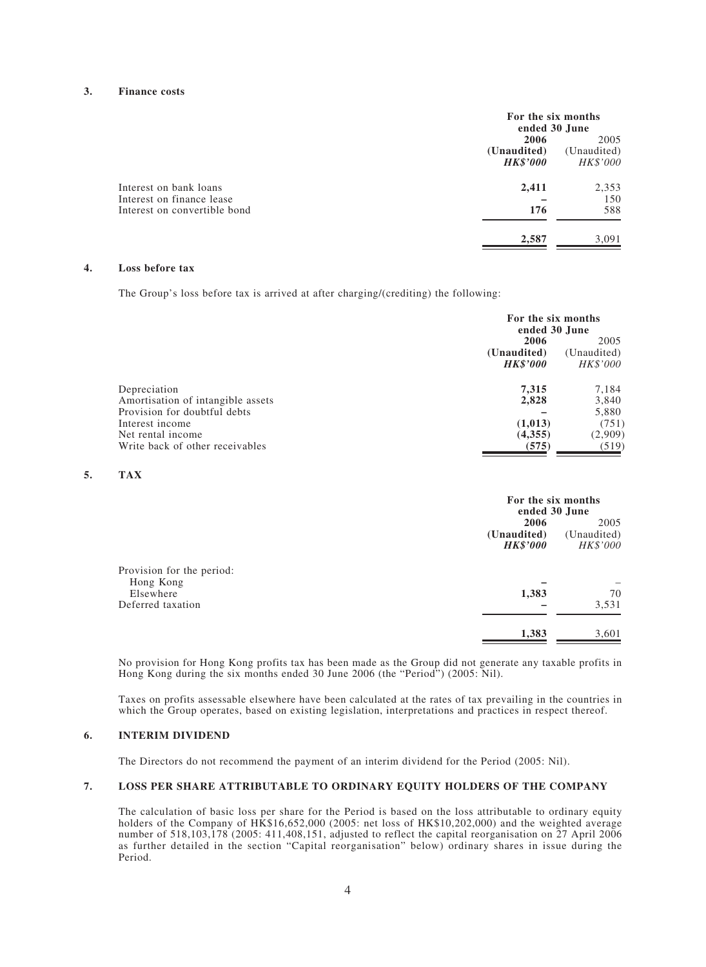#### **3. Finance costs**

|                              |                 | For the six months<br>ended 30 June |  |  |
|------------------------------|-----------------|-------------------------------------|--|--|
|                              | 2006            |                                     |  |  |
|                              | (Unaudited)     | (Unaudited)                         |  |  |
|                              | <b>HK\$'000</b> | HK\$'000                            |  |  |
| Interest on bank loans       | 2,411           | 2,353                               |  |  |
| Interest on finance lease    |                 | 150                                 |  |  |
| Interest on convertible bond | 176             | 588                                 |  |  |
|                              | 2,587           | 3,091                               |  |  |

#### **4. Loss before tax**

The Group's loss before tax is arrived at after charging/(crediting) the following:

|                                   | For the six months<br>ended 30 June |          |  |
|-----------------------------------|-------------------------------------|----------|--|
|                                   | 2006<br>2005                        |          |  |
|                                   | (Unaudited)<br>(Unaudited)          |          |  |
| <b>HK\$'000</b>                   |                                     | HK\$'000 |  |
| Depreciation                      | 7,315                               | 7,184    |  |
| Amortisation of intangible assets | 2,828                               | 3,840    |  |
| Provision for doubtful debts      |                                     | 5,880    |  |
| Interest income                   | (1,013)                             | (751)    |  |
| Net rental income                 | (4,355)                             | (2,909)  |  |
| Write back of other receivables   | (575)                               | (519)    |  |

#### **5. TAX**

|                                                                          |                                        | For the six months<br>ended 30 June |  |  |
|--------------------------------------------------------------------------|----------------------------------------|-------------------------------------|--|--|
|                                                                          | 2006<br>(Unaudited)<br><b>HK\$'000</b> | 2005<br>(Unaudited)<br>HK\$'000     |  |  |
| Provision for the period:<br>Hong Kong<br>Elsewhere<br>Deferred taxation | 1,383                                  | 70<br>3,531                         |  |  |
|                                                                          | 1,383                                  | 3,601                               |  |  |

No provision for Hong Kong profits tax has been made as the Group did not generate any taxable profits in Hong Kong during the six months ended 30 June 2006 (the "Period") (2005: Nil).

Taxes on profits assessable elsewhere have been calculated at the rates of tax prevailing in the countries in which the Group operates, based on existing legislation, interpretations and practices in respect thereof.

#### **6. INTERIM DIVIDEND**

The Directors do not recommend the payment of an interim dividend for the Period (2005: Nil).

#### **7. LOSS PER SHARE ATTRIBUTABLE TO ORDINARY EQUITY HOLDERS OF THE COMPANY**

The calculation of basic loss per share for the Period is based on the loss attributable to ordinary equity holders of the Company of HK\$16,652,000 (2005: net loss of HK\$10,202,000) and the weighted average number of 518,103,178 (2005: 411,408,151, adjusted to reflect the capital reorganisation on 27 April 2006 as further detailed in the section "Capital reorganisation" below) ordinary shares in issue during the Period.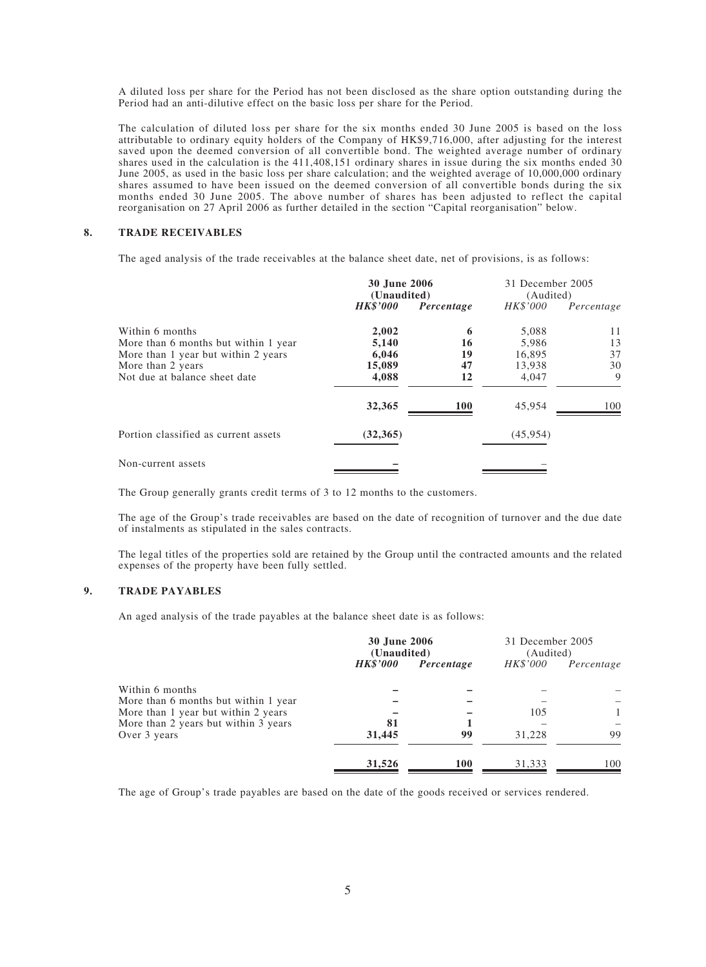A diluted loss per share for the Period has not been disclosed as the share option outstanding during the Period had an anti-dilutive effect on the basic loss per share for the Period.

The calculation of diluted loss per share for the six months ended 30 June 2005 is based on the loss attributable to ordinary equity holders of the Company of HK\$9,716,000, after adjusting for the interest saved upon the deemed conversion of all convertible bond. The weighted average number of ordinary shares used in the calculation is the 411,408,151 ordinary shares in issue during the six months ended 30 June 2005, as used in the basic loss per share calculation; and the weighted average of 10,000,000 ordinary shares assumed to have been issued on the deemed conversion of all convertible bonds during the six months ended 30 June 2005. The above number of shares has been adjusted to reflect the capital reorganisation on 27 April 2006 as further detailed in the section "Capital reorganisation" below.

#### **8. TRADE RECEIVABLES**

The aged analysis of the trade receivables at the balance sheet date, net of provisions, is as follows:

|                                      | <b>30 June 2006</b><br>(Unaudited) |            | 31 December 2005<br>(Audited) |            |  |
|--------------------------------------|------------------------------------|------------|-------------------------------|------------|--|
|                                      | <b>HK\$'000</b>                    | Percentage | HK\$'000                      | Percentage |  |
| Within 6 months                      | 2,002                              | 6          | 5,088                         | 11         |  |
| More than 6 months but within 1 year | 5,140                              | 16         | 5,986                         | 13         |  |
| More than 1 year but within 2 years  | 6,046                              | 19         | 16,895                        | 37         |  |
| More than 2 years                    | 15,089                             | 47         | 13,938                        | 30         |  |
| Not due at balance sheet date        | 4,088                              | 12         | 4,047                         | 9          |  |
|                                      | 32,365                             | <b>100</b> | 45,954                        | 100        |  |
| Portion classified as current assets | (32, 365)                          |            | (45, 954)                     |            |  |
| Non-current assets                   |                                    |            |                               |            |  |

The Group generally grants credit terms of 3 to 12 months to the customers.

The age of the Group's trade receivables are based on the date of recognition of turnover and the due date of instalments as stipulated in the sales contracts.

The legal titles of the properties sold are retained by the Group until the contracted amounts and the related expenses of the property have been fully settled.

#### **9. TRADE PAYABLES**

An aged analysis of the trade payables at the balance sheet date is as follows:

|                                      | <b>30 June 2006</b><br>(Unaudited) |            | 31 December 2005<br>(Audited) |              |
|--------------------------------------|------------------------------------|------------|-------------------------------|--------------|
|                                      | <b>HK\$'000</b>                    | Percentage | <i>HK\$'000</i>               | Percentage   |
| Within 6 months                      |                                    |            |                               |              |
| More than 6 months but within 1 year |                                    |            |                               |              |
| More than 1 year but within 2 years  |                                    |            | 105                           | $\mathbf{1}$ |
| More than 2 years but within 3 years | 81                                 |            |                               |              |
| Over 3 years                         | 31,445                             | 99         | 31,228                        | 99           |
|                                      | 31,526                             | <b>100</b> | 31,333                        | 100          |

The age of Group's trade payables are based on the date of the goods received or services rendered.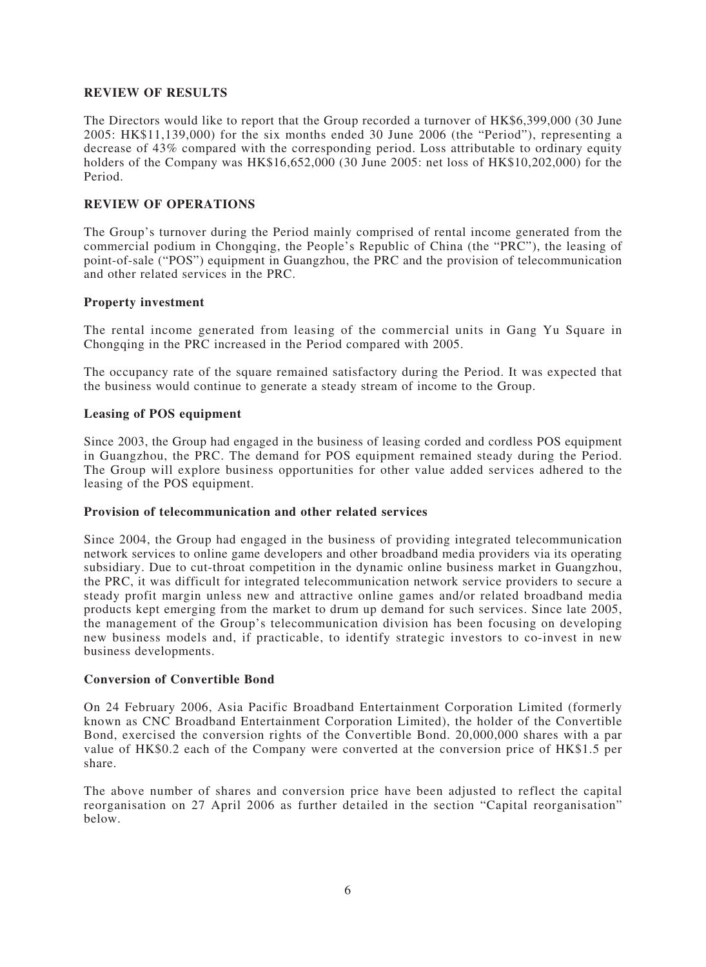#### **REVIEW OF RESULTS**

The Directors would like to report that the Group recorded a turnover of HK\$6,399,000 (30 June 2005: HK\$11,139,000) for the six months ended 30 June 2006 (the "Period"), representing a decrease of 43% compared with the corresponding period. Loss attributable to ordinary equity holders of the Company was HK\$16,652,000 (30 June 2005: net loss of HK\$10,202,000) for the Period.

## **REVIEW OF OPERATIONS**

The Group's turnover during the Period mainly comprised of rental income generated from the commercial podium in Chongqing, the People's Republic of China (the "PRC"), the leasing of point-of-sale ("POS") equipment in Guangzhou, the PRC and the provision of telecommunication and other related services in the PRC.

#### **Property investment**

The rental income generated from leasing of the commercial units in Gang Yu Square in Chongqing in the PRC increased in the Period compared with 2005.

The occupancy rate of the square remained satisfactory during the Period. It was expected that the business would continue to generate a steady stream of income to the Group.

#### **Leasing of POS equipment**

Since 2003, the Group had engaged in the business of leasing corded and cordless POS equipment in Guangzhou, the PRC. The demand for POS equipment remained steady during the Period. The Group will explore business opportunities for other value added services adhered to the leasing of the POS equipment.

#### **Provision of telecommunication and other related services**

Since 2004, the Group had engaged in the business of providing integrated telecommunication network services to online game developers and other broadband media providers via its operating subsidiary. Due to cut-throat competition in the dynamic online business market in Guangzhou, the PRC, it was difficult for integrated telecommunication network service providers to secure a steady profit margin unless new and attractive online games and/or related broadband media products kept emerging from the market to drum up demand for such services. Since late 2005, the management of the Group's telecommunication division has been focusing on developing new business models and, if practicable, to identify strategic investors to co-invest in new business developments.

#### **Conversion of Convertible Bond**

On 24 February 2006, Asia Pacific Broadband Entertainment Corporation Limited (formerly known as CNC Broadband Entertainment Corporation Limited), the holder of the Convertible Bond, exercised the conversion rights of the Convertible Bond. 20,000,000 shares with a par value of HK\$0.2 each of the Company were converted at the conversion price of HK\$1.5 per share.

The above number of shares and conversion price have been adjusted to reflect the capital reorganisation on 27 April 2006 as further detailed in the section "Capital reorganisation" below.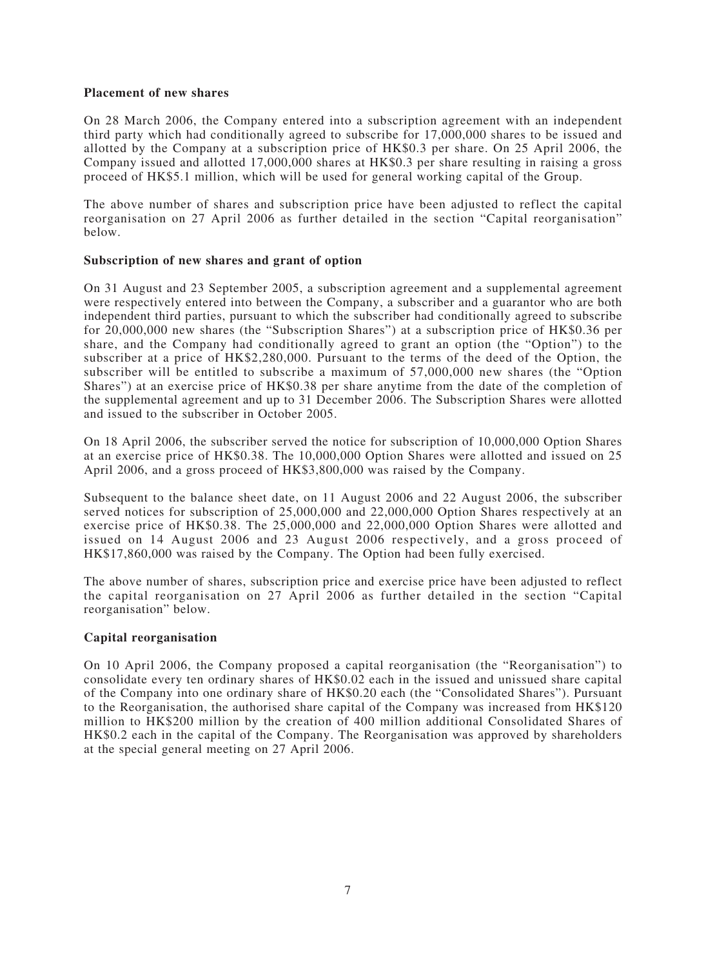## **Placement of new shares**

On 28 March 2006, the Company entered into a subscription agreement with an independent third party which had conditionally agreed to subscribe for 17,000,000 shares to be issued and allotted by the Company at a subscription price of HK\$0.3 per share. On 25 April 2006, the Company issued and allotted 17,000,000 shares at HK\$0.3 per share resulting in raising a gross proceed of HK\$5.1 million, which will be used for general working capital of the Group.

The above number of shares and subscription price have been adjusted to reflect the capital reorganisation on 27 April 2006 as further detailed in the section "Capital reorganisation" below.

## **Subscription of new shares and grant of option**

On 31 August and 23 September 2005, a subscription agreement and a supplemental agreement were respectively entered into between the Company, a subscriber and a guarantor who are both independent third parties, pursuant to which the subscriber had conditionally agreed to subscribe for 20,000,000 new shares (the "Subscription Shares") at a subscription price of HK\$0.36 per share, and the Company had conditionally agreed to grant an option (the "Option") to the subscriber at a price of HK\$2,280,000. Pursuant to the terms of the deed of the Option, the subscriber will be entitled to subscribe a maximum of 57,000,000 new shares (the "Option Shares") at an exercise price of HK\$0.38 per share anytime from the date of the completion of the supplemental agreement and up to 31 December 2006. The Subscription Shares were allotted and issued to the subscriber in October 2005.

On 18 April 2006, the subscriber served the notice for subscription of 10,000,000 Option Shares at an exercise price of HK\$0.38. The 10,000,000 Option Shares were allotted and issued on 25 April 2006, and a gross proceed of HK\$3,800,000 was raised by the Company.

Subsequent to the balance sheet date, on 11 August 2006 and 22 August 2006, the subscriber served notices for subscription of 25,000,000 and 22,000,000 Option Shares respectively at an exercise price of HK\$0.38. The 25,000,000 and 22,000,000 Option Shares were allotted and issued on 14 August 2006 and 23 August 2006 respectively, and a gross proceed of HK\$17,860,000 was raised by the Company. The Option had been fully exercised.

The above number of shares, subscription price and exercise price have been adjusted to reflect the capital reorganisation on 27 April 2006 as further detailed in the section "Capital reorganisation" below.

## **Capital reorganisation**

On 10 April 2006, the Company proposed a capital reorganisation (the "Reorganisation") to consolidate every ten ordinary shares of HK\$0.02 each in the issued and unissued share capital of the Company into one ordinary share of HK\$0.20 each (the "Consolidated Shares"). Pursuant to the Reorganisation, the authorised share capital of the Company was increased from HK\$120 million to HK\$200 million by the creation of 400 million additional Consolidated Shares of HK\$0.2 each in the capital of the Company. The Reorganisation was approved by shareholders at the special general meeting on 27 April 2006.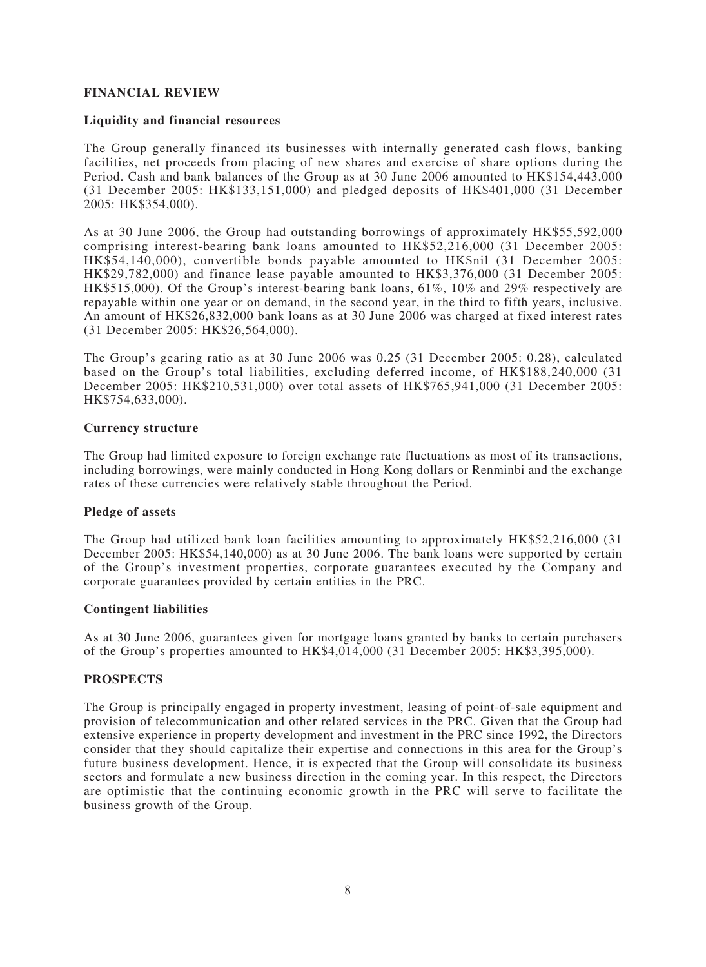## **FINANCIAL REVIEW**

#### **Liquidity and financial resources**

The Group generally financed its businesses with internally generated cash flows, banking facilities, net proceeds from placing of new shares and exercise of share options during the Period. Cash and bank balances of the Group as at 30 June 2006 amounted to HK\$154,443,000 (31 December 2005: HK\$133,151,000) and pledged deposits of HK\$401,000 (31 December 2005: HK\$354,000).

As at 30 June 2006, the Group had outstanding borrowings of approximately HK\$55,592,000 comprising interest-bearing bank loans amounted to HK\$52,216,000 (31 December 2005: HK\$54,140,000), convertible bonds payable amounted to HK\$nil (31 December 2005: HK\$29,782,000) and finance lease payable amounted to HK\$3,376,000 (31 December 2005: HK\$515,000). Of the Group's interest-bearing bank loans, 61%, 10% and 29% respectively are repayable within one year or on demand, in the second year, in the third to fifth years, inclusive. An amount of HK\$26,832,000 bank loans as at 30 June 2006 was charged at fixed interest rates (31 December 2005: HK\$26,564,000).

The Group's gearing ratio as at 30 June 2006 was 0.25 (31 December 2005: 0.28), calculated based on the Group's total liabilities, excluding deferred income, of HK\$188,240,000 (31 December 2005: HK\$210,531,000) over total assets of HK\$765,941,000 (31 December 2005: HK\$754,633,000).

#### **Currency structure**

The Group had limited exposure to foreign exchange rate fluctuations as most of its transactions, including borrowings, were mainly conducted in Hong Kong dollars or Renminbi and the exchange rates of these currencies were relatively stable throughout the Period.

#### **Pledge of assets**

The Group had utilized bank loan facilities amounting to approximately HK\$52,216,000 (31 December 2005: HK\$54,140,000) as at 30 June 2006. The bank loans were supported by certain of the Group's investment properties, corporate guarantees executed by the Company and corporate guarantees provided by certain entities in the PRC.

#### **Contingent liabilities**

As at 30 June 2006, guarantees given for mortgage loans granted by banks to certain purchasers of the Group's properties amounted to HK\$4,014,000 (31 December 2005: HK\$3,395,000).

#### **PROSPECTS**

The Group is principally engaged in property investment, leasing of point-of-sale equipment and provision of telecommunication and other related services in the PRC. Given that the Group had extensive experience in property development and investment in the PRC since 1992, the Directors consider that they should capitalize their expertise and connections in this area for the Group's future business development. Hence, it is expected that the Group will consolidate its business sectors and formulate a new business direction in the coming year. In this respect, the Directors are optimistic that the continuing economic growth in the PRC will serve to facilitate the business growth of the Group.